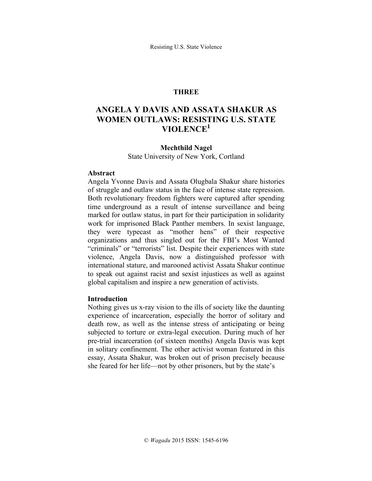## **THREE**

# **ANGELA Y DAVIS AND ASSATA SHAKUR AS WOMEN OUTLAWS: RESISTING U.S. STATE VIOLENCE<sup>1</sup>**

## **Mechthild Nagel**

State University of New York, Cortland

## **Abstract**

Angela Yvonne Davis and Assata Olugbala Shakur share histories of struggle and outlaw status in the face of intense state repression. Both revolutionary freedom fighters were captured after spending time underground as a result of intense surveillance and being marked for outlaw status, in part for their participation in solidarity work for imprisoned Black Panther members. In sexist language, they were typecast as "mother hens" of their respective organizations and thus singled out for the FBI's Most Wanted "criminals" or "terrorists" list. Despite their experiences with state violence, Angela Davis, now a distinguished professor with international stature, and marooned activist Assata Shakur continue to speak out against racist and sexist injustices as well as against global capitalism and inspire a new generation of activists.

## **Introduction**

Nothing gives us x-ray vision to the ills of society like the daunting experience of incarceration, especially the horror of solitary and death row, as well as the intense stress of anticipating or being subjected to torture or extra-legal execution. During much of her pre-trial incarceration (of sixteen months) Angela Davis was kept in solitary confinement. The other activist woman featured in this essay, Assata Shakur, was broken out of prison precisely because she feared for her life—not by other prisoners, but by the state's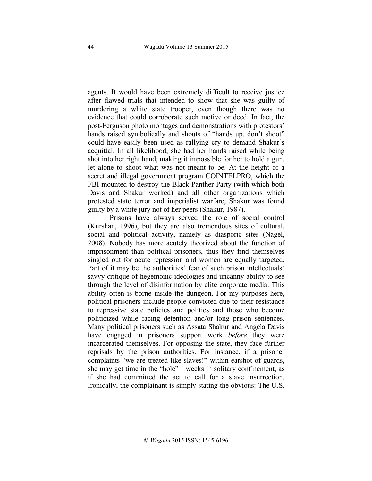agents. It would have been extremely difficult to receive justice after flawed trials that intended to show that she was guilty of murdering a white state trooper, even though there was no evidence that could corroborate such motive or deed. In fact, the post-Ferguson photo montages and demonstrations with protestors' hands raised symbolically and shouts of "hands up, don't shoot" could have easily been used as rallying cry to demand Shakur's acquittal. In all likelihood, she had her hands raised while being shot into her right hand, making it impossible for her to hold a gun, let alone to shoot what was not meant to be. At the height of a secret and illegal government program COINTELPRO, which the FBI mounted to destroy the Black Panther Party (with which both Davis and Shakur worked) and all other organizations which protested state terror and imperialist warfare, Shakur was found guilty by a white jury not of her peers (Shakur, 1987).

Prisons have always served the role of social control (Kurshan, 1996), but they are also tremendous sites of cultural, social and political activity, namely as diasporic sites (Nagel, 2008). Nobody has more acutely theorized about the function of imprisonment than political prisoners, thus they find themselves singled out for acute repression and women are equally targeted. Part of it may be the authorities' fear of such prison intellectuals' savvy critique of hegemonic ideologies and uncanny ability to see through the level of disinformation by elite corporate media. This ability often is borne inside the dungeon. For my purposes here, political prisoners include people convicted due to their resistance to repressive state policies and politics and those who become politicized while facing detention and/or long prison sentences. Many political prisoners such as Assata Shakur and Angela Davis have engaged in prisoners support work *before* they were incarcerated themselves. For opposing the state, they face further reprisals by the prison authorities. For instance, if a prisoner complaints "we are treated like slaves!" within earshot of guards, she may get time in the "hole"—weeks in solitary confinement, as if she had committed the act to call for a slave insurrection. Ironically, the complainant is simply stating the obvious: The U.S.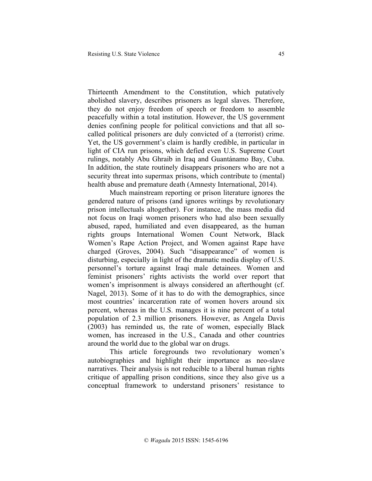Thirteenth Amendment to the Constitution, which putatively abolished slavery, describes prisoners as legal slaves. Therefore, they do not enjoy freedom of speech or freedom to assemble peacefully within a total institution. However, the US government denies confining people for political convictions and that all socalled political prisoners are duly convicted of a (terrorist) crime. Yet, the US government's claim is hardly credible, in particular in light of CIA run prisons, which defied even U.S. Supreme Court rulings, notably Abu Ghraib in Iraq and Guantánamo Bay, Cuba. In addition, the state routinely disappears prisoners who are not a security threat into supermax prisons, which contribute to (mental) health abuse and premature death (Amnesty International, 2014).

Much mainstream reporting or prison literature ignores the gendered nature of prisons (and ignores writings by revolutionary prison intellectuals altogether). For instance, the mass media did not focus on Iraqi women prisoners who had also been sexually abused, raped, humiliated and even disappeared, as the human rights groups International Women Count Network, Black Women's Rape Action Project, and Women against Rape have charged (Groves, 2004). Such "disappearance" of women is disturbing, especially in light of the dramatic media display of U.S. personnel's torture against Iraqi male detainees. Women and feminist prisoners' rights activists the world over report that women's imprisonment is always considered an afterthought (cf. Nagel, 2013). Some of it has to do with the demographics, since most countries' incarceration rate of women hovers around six percent, whereas in the U.S. manages it is nine percent of a total population of 2.3 million prisoners. However, as Angela Davis (2003) has reminded us, the rate of women, especially Black women, has increased in the U.S., Canada and other countries around the world due to the global war on drugs.

This article foregrounds two revolutionary women's autobiographies and highlight their importance as neo-slave narratives. Their analysis is not reducible to a liberal human rights critique of appalling prison conditions, since they also give us a conceptual framework to understand prisoners' resistance to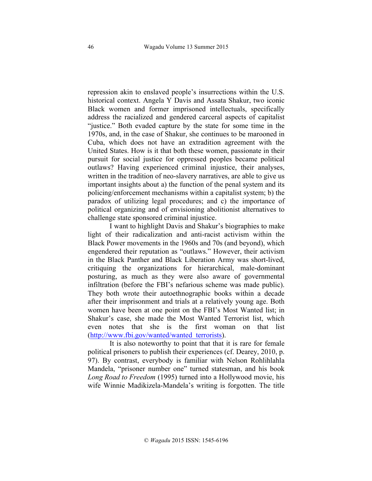repression akin to enslaved people's insurrections within the U.S. historical context. Angela Y Davis and Assata Shakur, two iconic Black women and former imprisoned intellectuals, specifically address the racialized and gendered carceral aspects of capitalist "justice." Both evaded capture by the state for some time in the 1970s, and, in the case of Shakur, she continues to be marooned in Cuba, which does not have an extradition agreement with the United States. How is it that both these women, passionate in their pursuit for social justice for oppressed peoples became political outlaws? Having experienced criminal injustice, their analyses, written in the tradition of neo-slavery narratives, are able to give us important insights about a) the function of the penal system and its policing/enforcement mechanisms within a capitalist system; b) the paradox of utilizing legal procedures; and c) the importance of political organizing and of envisioning abolitionist alternatives to challenge state sponsored criminal injustice.

I want to highlight Davis and Shakur's biographies to make light of their radicalization and anti-racist activism within the Black Power movements in the 1960s and 70s (and beyond), which engendered their reputation as "outlaws." However, their activism in the Black Panther and Black Liberation Army was short-lived, critiquing the organizations for hierarchical, male-dominant posturing, as much as they were also aware of governmental infiltration (before the FBI's nefarious scheme was made public). They both wrote their autoethnographic books within a decade after their imprisonment and trials at a relatively young age. Both women have been at one point on the FBI's Most Wanted list; in Shakur's case, she made the Most Wanted Terrorist list, which even notes that she is the first woman on that list (http://www.fbi.gov/wanted/wanted\_terrorists).

It is also noteworthy to point that that it is rare for female political prisoners to publish their experiences (cf. Dearey, 2010, p. 97). By contrast, everybody is familiar with Nelson Rohlihlahla Mandela, "prisoner number one" turned statesman, and his book *Long Road to Freedom* (1995) turned into a Hollywood movie, his wife Winnie Madikizela-Mandela's writing is forgotten. The title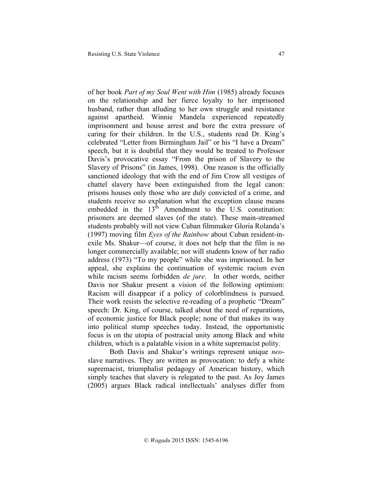of her book *Part of my Soul Went with Him* (1985) already focuses on the relationship and her fierce loyalty to her imprisoned husband, rather than alluding to her own struggle and resistance against apartheid. Winnie Mandela experienced repeatedly imprisonment and house arrest and bore the extra pressure of caring for their children. In the U.S., students read Dr. King's celebrated "Letter from Birmingham Jail" or his "I have a Dream" speech, but it is doubtful that they would be treated to Professor Davis's provocative essay "From the prison of Slavery to the Slavery of Prisons" (in James, 1998). One reason is the officially sanctioned ideology that with the end of Jim Crow all vestiges of chattel slavery have been extinguished from the legal canon: prisons houses only those who are duly convicted of a crime, and students receive no explanation what the exception clause means embedded in the  $13<sup>th</sup>$  Amendment to the U.S. constitution: prisoners are deemed slaves (of the state). These main-streamed students probably will not view Cuban filmmaker Gloria Rolanda's (1997) moving film *Eyes of the Rainbow* about Cuban resident-inexile Ms. Shakur—of course, it does not help that the film is no longer commercially available; nor will students know of her radio address (1973) "To my people" while she was imprisoned. In her appeal, she explains the continuation of systemic racism even while racism seems forbidden *de jure*. In other words, neither Davis nor Shakur present a vision of the following optimism: Racism will disappear if a policy of colorblindness is pursued. Their work resists the selective re-reading of a prophetic "Dream" speech: Dr. King, of course, talked about the need of reparations, of economic justice for Black people; none of that makes its way into political stump speeches today. Instead, the opportunistic focus is on the utopia of postracial unity among Black and white children, which is a palatable vision in a white supremacist polity.

Both Davis and Shakur's writings represent unique *neo*slave narratives. They are written as provocation: to defy a white supremacist, triumphalist pedagogy of American history, which simply teaches that slavery is relegated to the past. As Joy James (2005) argues Black radical intellectuals' analyses differ from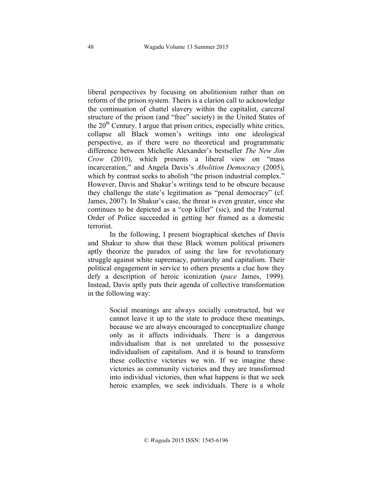liberal perspectives by focusing on abolitionism rather than on reform of the prison system. Theirs is a clarion call to acknowledge the continuation of chattel slavery within the capitalist, carceral structure of the prison (and "free" society) in the United States of the  $20<sup>th</sup>$  Century. I argue that prison critics, especially white critics, collapse all Black women's writings into one ideological perspective, as if there were no theoretical and programmatic difference between Michelle Alexander's bestseller *The New Jim Crow* (2010), which presents a liberal view on "mass incarceration," and Angela Davis's *Abolition Democracy* (2005), which by contrast seeks to abolish "the prison industrial complex." However, Davis and Shakur's writings tend to be obscure because they challenge the state's legitimation as "penal democracy" (cf. James, 2007). In Shakur's case, the threat is even greater, since she continues to be depicted as a "cop killer" (sic), and the Fraternal Order of Police succeeded in getting her framed as a domestic terrorist.

In the following, I present biographical sketches of Davis and Shakur to show that these Black women political prisoners aptly theorize the paradox of using the law for revolutionary struggle against white supremacy, patriarchy and capitalism. Their political engagement in service to others presents a clue how they defy a description of heroic iconization (*pace* James, 1999). Instead, Davis aptly puts their agenda of collective transformation in the following way:

> Social meanings are always socially constructed, but we cannot leave it up to the state to produce these meanings, because we are always encouraged to conceptualize change only as it affects individuals. There is a dangerous individualism that is not unrelated to the possessive individualism of capitalism. And it is bound to transform these collective victories we win. If we imagine these victories as community victories and they are transformed into individual victories, then what happens is that we seek heroic examples, we seek individuals. There is a whole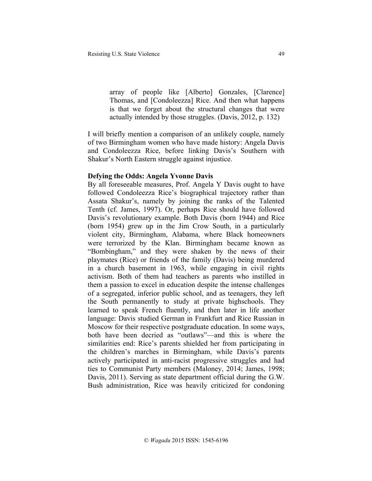array of people like [Alberto] Gonzales, [Clarence] Thomas, and [Condoleezza] Rice. And then what happens is that we forget about the structural changes that were actually intended by those struggles. (Davis, 2012, p. 132)

I will briefly mention a comparison of an unlikely couple, namely of two Birmingham women who have made history: Angela Davis and Condoleezza Rice, before linking Davis's Southern with Shakur's North Eastern struggle against injustice.

## **Defying the Odds: Angela Yvonne Davis**

By all foreseeable measures, Prof. Angela Y Davis ought to have followed Condoleezza Rice's biographical trajectory rather than Assata Shakur's, namely by joining the ranks of the Talented Tenth (cf. James, 1997). Or, perhaps Rice should have followed Davis's revolutionary example. Both Davis (born 1944) and Rice (born 1954) grew up in the Jim Crow South, in a particularly violent city, Birmingham, Alabama, where Black homeowners were terrorized by the Klan. Birmingham became known as "Bombingham," and they were shaken by the news of their playmates (Rice) or friends of the family (Davis) being murdered in a church basement in 1963, while engaging in civil rights activism. Both of them had teachers as parents who instilled in them a passion to excel in education despite the intense challenges of a segregated, inferior public school, and as teenagers, they left the South permanently to study at private highschools. They learned to speak French fluently, and then later in life another language: Davis studied German in Frankfurt and Rice Russian in Moscow for their respective postgraduate education. In some ways, both have been decried as "outlaws"—and this is where the similarities end: Rice's parents shielded her from participating in the children's marches in Birmingham, while Davis's parents actively participated in anti-racist progressive struggles and had ties to Communist Party members (Maloney, 2014; James, 1998; Davis, 2011). Serving as state department official during the G.W. Bush administration, Rice was heavily criticized for condoning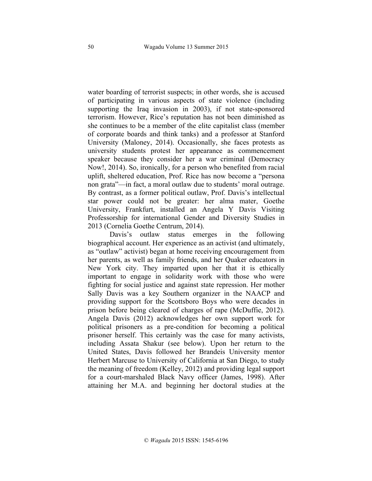water boarding of terrorist suspects; in other words, she is accused of participating in various aspects of state violence (including supporting the Iraq invasion in 2003), if not state-sponsored terrorism. However, Rice's reputation has not been diminished as she continues to be a member of the elite capitalist class (member of corporate boards and think tanks) and a professor at Stanford University (Maloney, 2014). Occasionally, she faces protests as university students protest her appearance as commencement speaker because they consider her a war criminal (Democracy Now!, 2014). So, ironically, for a person who benefited from racial uplift, sheltered education, Prof. Rice has now become a "persona non grata"—in fact, a moral outlaw due to students' moral outrage. By contrast, as a former political outlaw, Prof. Davis's intellectual star power could not be greater: her alma mater, Goethe University, Frankfurt, installed an Angela Y Davis Visiting Professorship for international Gender and Diversity Studies in 2013 (Cornelia Goethe Centrum, 2014).

Davis's outlaw status emerges in the following biographical account. Her experience as an activist (and ultimately, as "outlaw" activist) began at home receiving encouragement from her parents, as well as family friends, and her Quaker educators in New York city. They imparted upon her that it is ethically important to engage in solidarity work with those who were fighting for social justice and against state repression. Her mother Sally Davis was a key Southern organizer in the NAACP and providing support for the Scottsboro Boys who were decades in prison before being cleared of charges of rape (McDuffie, 2012). Angela Davis (2012) acknowledges her own support work for political prisoners as a pre-condition for becoming a political prisoner herself. This certainly was the case for many activists, including Assata Shakur (see below). Upon her return to the United States, Davis followed her Brandeis University mentor Herbert Marcuse to University of California at San Diego, to study the meaning of freedom (Kelley, 2012) and providing legal support for a court-marshaled Black Navy officer (James, 1998). After attaining her M.A. and beginning her doctoral studies at the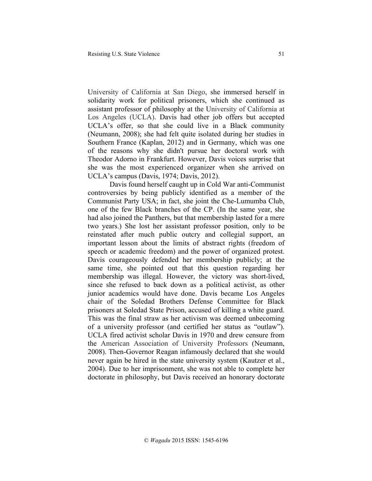University of California at San Diego, she immersed herself in solidarity work for political prisoners, which she continued as assistant professor of philosophy at the University of California at Los Angeles (UCLA). Davis had other job offers but accepted UCLA's offer, so that she could live in a Black community (Neumann, 2008); she had felt quite isolated during her studies in Southern France (Kaplan, 2012) and in Germany, which was one of the reasons why she didn't pursue her doctoral work with Theodor Adorno in Frankfurt. However, Davis voices surprise that she was the most experienced organizer when she arrived on UCLA's campus (Davis, 1974; Davis, 2012).

Davis found herself caught up in Cold War anti-Communist controversies by being publicly identified as a member of the Communist Party USA; in fact, she joint the Che-Lumumba Club, one of the few Black branches of the CP. (In the same year, she had also joined the Panthers, but that membership lasted for a mere two years.) She lost her assistant professor position, only to be reinstated after much public outcry and collegial support, an important lesson about the limits of abstract rights (freedom of speech or academic freedom) and the power of organized protest. Davis courageously defended her membership publicly; at the same time, she pointed out that this question regarding her membership was illegal. However, the victory was short-lived, since she refused to back down as a political activist, as other junior academics would have done. Davis became Los Angeles chair of the Soledad Brothers Defense Committee for Black prisoners at Soledad State Prison, accused of killing a white guard. This was the final straw as her activism was deemed unbecoming of a university professor (and certified her status as "outlaw"). UCLA fired activist scholar Davis in 1970 and drew censure from the American Association of University Professors (Neumann, 2008). Then-Governor Reagan infamously declared that she would never again be hired in the state university system (Kautzer et al., 2004). Due to her imprisonment, she was not able to complete her doctorate in philosophy, but Davis received an honorary doctorate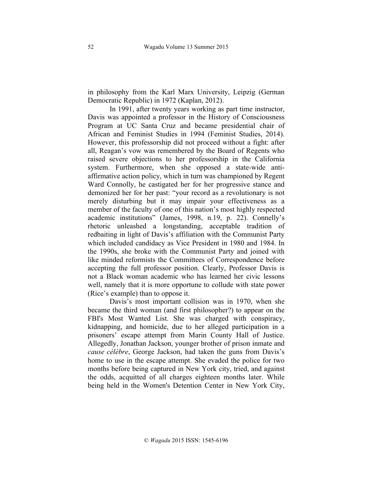in philosophy from the Karl Marx University, Leipzig (German Democratic Republic) in 1972 (Kaplan, 2012).

In 1991, after twenty years working as part time instructor, Davis was appointed a professor in the History of Consciousness Program at UC Santa Cruz and became presidential chair of African and Feminist Studies in 1994 (Feminist Studies, 2014). However, this professorship did not proceed without a fight: after all, Reagan's vow was remembered by the Board of Regents who raised severe objections to her professorship in the California system. Furthermore, when she opposed a state-wide antiaffirmative action policy, which in turn was championed by Regent Ward Connolly, he castigated her for her progressive stance and demonized her for her past: "your record as a revolutionary is not merely disturbing but it may impair your effectiveness as a member of the faculty of one of this nation's most highly respected academic institutions" (James, 1998, n.19, p. 22). Connelly's rhetoric unleashed a longstanding, acceptable tradition of redbaiting in light of Davis's affiliation with the Communist Party which included candidacy as Vice President in 1980 and 1984. In the 1990s, she broke with the Communist Party and joined with like minded reformists the Committees of Correspondence before accepting the full professor position. Clearly, Professor Davis is not a Black woman academic who has learned her civic lessons well, namely that it is more opportune to collude with state power (Rice's example) than to oppose it.

Davis's most important collision was in 1970, when she became the third woman (and first philosopher?) to appear on the FBI's Most Wanted List. She was charged with conspiracy, kidnapping, and homicide, due to her alleged participation in a prisoners' escape attempt from Marin County Hall of Justice. Allegedly, Jonathan Jackson, younger brother of prison inmate and *cause célèbre*, George Jackson, had taken the guns from Davis's home to use in the escape attempt. She evaded the police for two months before being captured in New York city, tried, and against the odds, acquitted of all charges eighteen months later. While being held in the Women's Detention Center in New York City,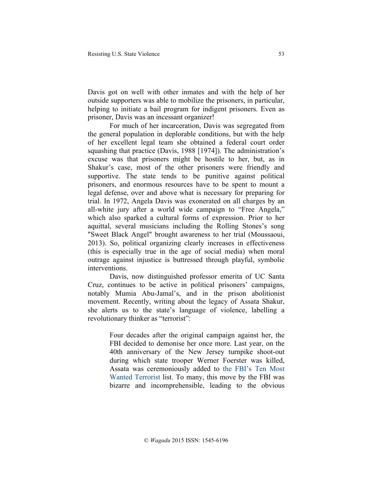Davis got on well with other inmates and with the help of her outside supporters was able to mobilize the prisoners, in particular, helping to initiate a bail program for indigent prisoners. Even as prisoner, Davis was an incessant organizer!

For much of her incarceration, Davis was segregated from the general population in deplorable conditions, but with the help of her excellent legal team she obtained a federal court order squashing that practice (Davis, 1988 [1974]). The administration's excuse was that prisoners might be hostile to her, but, as in Shakur's case, most of the other prisoners were friendly and supportive. The state tends to be punitive against political prisoners, and enormous resources have to be spent to mount a legal defense, over and above what is necessary for preparing for trial. In 1972, Angela Davis was exonerated on all charges by an all-white jury after a world wide campaign to "Free Angela," which also sparked a cultural forms of expression. Prior to her aquittal, several musicians including the Rolling Stones's song "Sweet Black Angel" brought awareness to her trial (Moussaoui, 2013). So, political organizing clearly increases in effectiveness (this is especially true in the age of social media) when moral outrage against injustice is buttressed through playful, symbolic interventions.

Davis, now distinguished professor emerita of UC Santa Cruz, continues to be active in political prisoners' campaigns, notably Mumia Abu-Jamal's, and in the prison abolitionist movement. Recently, writing about the legacy of Assata Shakur, she alerts us to the state's language of violence, labelling a revolutionary thinker as "terrorist":

> Four decades after the original campaign against her, the FBI decided to demonise her once more. Last year, on the 40th anniversary of the New Jersey turnpike shoot-out during which state trooper Werner Foerster was killed, Assata was ceremoniously added to the FBI's Ten Most Wanted Terrorist list. To many, this move by the FBI was bizarre and incomprehensible, leading to the obvious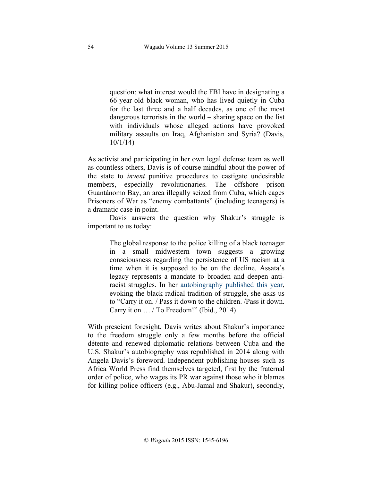question: what interest would the FBI have in designating a 66-year-old black woman, who has lived quietly in Cuba for the last three and a half decades, as one of the most dangerous terrorists in the world – sharing space on the list with individuals whose alleged actions have provoked military assaults on Iraq, Afghanistan and Syria? (Davis, 10/1/14)

As activist and participating in her own legal defense team as well as countless others, Davis is of course mindful about the power of the state to *invent* punitive procedures to castigate undesirable members, especially revolutionaries. The offshore prison Guantánomo Bay, an area illegally seized from Cuba, which cages Prisoners of War as "enemy combattants" (including teenagers) is a dramatic case in point.

Davis answers the question why Shakur's struggle is important to us today:

> The global response to the police killing of a black teenager in a small midwestern town suggests a growing consciousness regarding the persistence of US racism at a time when it is supposed to be on the decline. Assata's legacy represents a mandate to broaden and deepen antiracist struggles. In her autobiography published this year, evoking the black radical tradition of struggle, she asks us to "Carry it on. / Pass it down to the children. /Pass it down. Carry it on … / To Freedom!" (Ibid., 2014)

With prescient foresight, Davis writes about Shakur's importance to the freedom struggle only a few months before the official détente and renewed diplomatic relations between Cuba and the U.S. Shakur's autobiography was republished in 2014 along with Angela Davis's foreword. Independent publishing houses such as Africa World Press find themselves targeted, first by the fraternal order of police, who wages its PR war against those who it blames for killing police officers (e.g., Abu-Jamal and Shakur), secondly,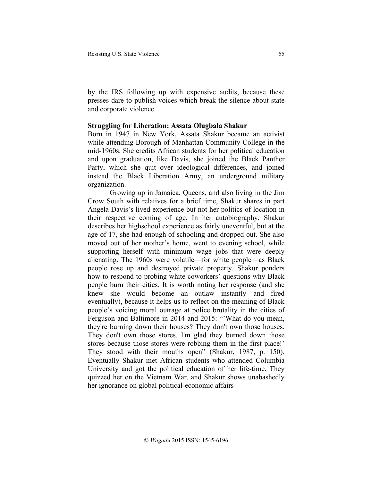by the IRS following up with expensive audits, because these presses dare to publish voices which break the silence about state and corporate violence.

#### **Struggling for Liberation: Assata Olugbala Shakur**

Born in 1947 in New York, Assata Shakur became an activist while attending Borough of Manhattan Community College in the mid-1960s. She credits African students for her political education and upon graduation, like Davis, she joined the Black Panther Party, which she quit over ideological differences, and joined instead the Black Liberation Army, an underground military organization.

Growing up in Jamaica, Queens, and also living in the Jim Crow South with relatives for a brief time, Shakur shares in part Angela Davis's lived experience but not her politics of location in their respective coming of age. In her autobiography, Shakur describes her highschool experience as fairly uneventful, but at the age of 17, she had enough of schooling and dropped out. She also moved out of her mother's home, went to evening school, while supporting herself with minimum wage jobs that were deeply alienating. The 1960s were volatile—for white people—as Black people rose up and destroyed private property. Shakur ponders how to respond to probing white coworkers' questions why Black people burn their cities. It is worth noting her response (and she knew she would become an outlaw instantly—and fired eventually), because it helps us to reflect on the meaning of Black people's voicing moral outrage at police brutality in the cities of Ferguson and Baltimore in 2014 and 2015: "'What do you mean, they're burning down their houses? They don't own those houses. They don't own those stores. I'm glad they burned down those stores because those stores were robbing them in the first place!' They stood with their mouths open" (Shakur, 1987, p. 150). Eventually Shakur met African students who attended Columbia University and got the political education of her life-time. They quizzed her on the Vietnam War, and Shakur shows unabashedly her ignorance on global political-economic affairs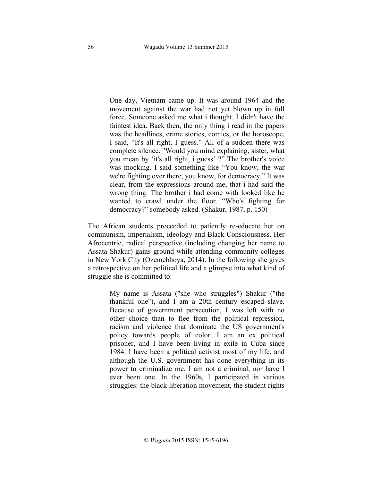One day, Vietnam came up. It was around 1964 and the movement against the war had not yet blown up in full force. Someone asked me what i thought. I didn't have the faintest idea. Back then, the only thing i read in the papers was the headlines, crime stories, comics, or the horoscope. I said, "It's all right, I guess." All of a sudden there was complete silence. "Would you mind explaining, sister, what you mean by 'it's all right, i guess' ?" The brother's voice was mocking. I said something like "You know, the war we're fighting over there, you know, for democracy." It was clear, from the expressions around me, that i had said the wrong thing. The brother i had come with looked like he wanted to crawl under the floor. "Who's fighting for democracy?" somebody asked. (Shakur, 1987, p. 150)

The African students proceeded to patiently re-educate her on communism, imperialism, ideology and Black Consciousness. Her Afrocentric, radical perspective (including changing her name to Assata Shakur) gains ground while attending community colleges in New York City (Ozemebhoya, 2014). In the following she gives a retrospective on her political life and a glimpse into what kind of struggle she is committed to:

> My name is Assata ("she who struggles") Shakur ("the thankful one"), and I am a 20th century escaped slave. Because of government persecution, I was left with no other choice than to flee from the political repression, racism and violence that dominate the US government's policy towards people of color. I am an ex political prisoner, and I have been living in exile in Cuba since 1984. I have been a political activist most of my life, and although the U.S. government has done everything in its power to criminalize me, I am not a criminal, nor have I ever been one. In the 1960s, I participated in various struggles: the black liberation movement, the student rights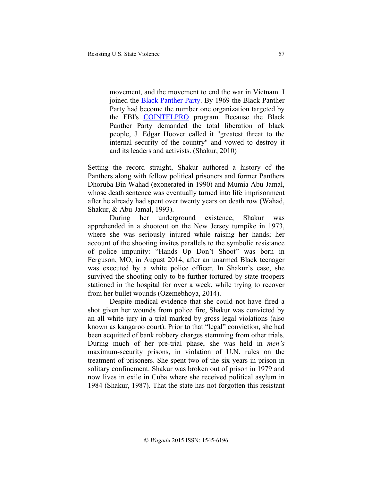movement, and the movement to end the war in Vietnam. I joined the Black Panther Party. By 1969 the Black Panther Party had become the number one organization targeted by the FBI's COINTELPRO program. Because the Black Panther Party demanded the total liberation of black people, J. Edgar Hoover called it "greatest threat to the internal security of the country" and vowed to destroy it and its leaders and activists. (Shakur, 2010)

Setting the record straight, Shakur authored a history of the Panthers along with fellow political prisoners and former Panthers Dhoruba Bin Wahad (exonerated in 1990) and Mumia Abu-Jamal, whose death sentence was eventually turned into life imprisonment after he already had spent over twenty years on death row (Wahad, Shakur, & Abu-Jamal, 1993).

During her underground existence, Shakur was apprehended in a shootout on the New Jersey turnpike in 1973, where she was seriously injured while raising her hands; her account of the shooting invites parallels to the symbolic resistance of police impunity: "Hands Up Don't Shoot" was born in Ferguson, MO, in August 2014, after an unarmed Black teenager was executed by a white police officer. In Shakur's case, she survived the shooting only to be further tortured by state troopers stationed in the hospital for over a week, while trying to recover from her bullet wounds (Ozemebhoya, 2014).

Despite medical evidence that she could not have fired a shot given her wounds from police fire, Shakur was convicted by an all white jury in a trial marked by gross legal violations (also known as kangaroo court). Prior to that "legal" conviction, she had been acquitted of bank robbery charges stemming from other trials. During much of her pre-trial phase, she was held in *men's* maximum-security prisons, in violation of U.N. rules on the treatment of prisoners. She spent two of the six years in prison in solitary confinement. Shakur was broken out of prison in 1979 and now lives in exile in Cuba where she received political asylum in 1984 (Shakur, 1987). That the state has not forgotten this resistant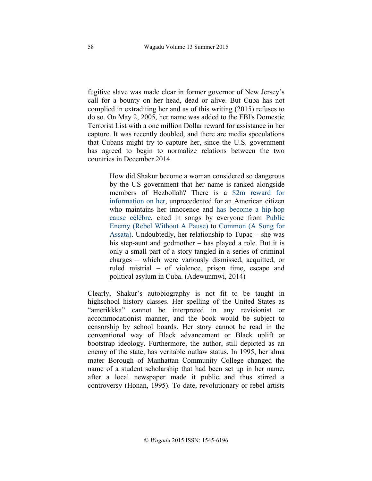fugitive slave was made clear in former governor of New Jersey's call for a bounty on her head, dead or alive. But Cuba has not complied in extraditing her and as of this writing (2015) refuses to do so. On May 2, 2005, her name was added to the FBI's Domestic Terrorist List with a one million Dollar reward for assistance in her capture. It was recently doubled, and there are media speculations that Cubans might try to capture her, since the U.S. government has agreed to begin to normalize relations between the two countries in December 2014.

> How did Shakur become a woman considered so dangerous by the US government that her name is ranked alongside members of Hezbollah? There is a \$2m reward for information on her, unprecedented for an American citizen who maintains her innocence and has become a hip-hop cause célèbre, cited in songs by everyone from Public Enemy (Rebel Without A Pause) to Common (A Song for Assata). Undoubtedly, her relationship to Tupac – she was his step-aunt and godmother – has played a role. But it is only a small part of a story tangled in a series of criminal charges – which were variously dismissed, acquitted, or ruled mistrial – of violence, prison time, escape and political asylum in Cuba. (Adewunmwi, 2014)

Clearly, Shakur's autobiography is not fit to be taught in highschool history classes. Her spelling of the United States as "amerikkka" cannot be interpreted in any revisionist or accommodationist manner, and the book would be subject to censorship by school boards. Her story cannot be read in the conventional way of Black advancement or Black uplift or bootstrap ideology. Furthermore, the author, still depicted as an enemy of the state, has veritable outlaw status. In 1995, her alma mater Borough of Manhattan Community College changed the name of a student scholarship that had been set up in her name, after a local newspaper made it public and thus stirred a controversy (Honan, 1995). To date, revolutionary or rebel artists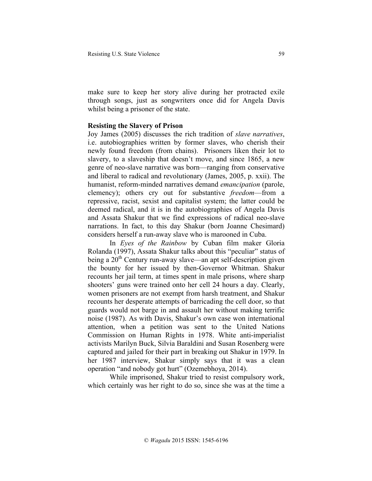make sure to keep her story alive during her protracted exile through songs, just as songwriters once did for Angela Davis whilst being a prisoner of the state.

#### **Resisting the Slavery of Prison**

Joy James (2005) discusses the rich tradition of *slave narratives*, i.e. autobiographies written by former slaves, who cherish their newly found freedom (from chains). Prisoners liken their lot to slavery, to a slaveship that doesn't move, and since 1865, a new genre of neo-slave narrative was born—ranging from conservative and liberal to radical and revolutionary (James, 2005, p. xxii). The humanist, reform-minded narratives demand *emancipation* (parole, clemency); others cry out for substantive *freedom*—from a repressive, racist, sexist and capitalist system; the latter could be deemed radical, and it is in the autobiographies of Angela Davis and Assata Shakur that we find expressions of radical neo-slave narrations. In fact, to this day Shakur (born Joanne Chesimard) considers herself a run-away slave who is marooned in Cuba.

In *Eyes of the Rainbow* by Cuban film maker Gloria Rolanda (1997), Assata Shakur talks about this "peculiar" status of being a  $20<sup>th</sup>$  Century run-away slave—an apt self-description given the bounty for her issued by then-Governor Whitman. Shakur recounts her jail term, at times spent in male prisons, where sharp shooters' guns were trained onto her cell 24 hours a day. Clearly, women prisoners are not exempt from harsh treatment, and Shakur recounts her desperate attempts of barricading the cell door, so that guards would not barge in and assault her without making terrific noise (1987). As with Davis, Shakur's own case won international attention, when a petition was sent to the United Nations Commission on Human Rights in 1978. White anti-imperialist activists Marilyn Buck, Silvia Baraldini and Susan Rosenberg were captured and jailed for their part in breaking out Shakur in 1979. In her 1987 interview, Shakur simply says that it was a clean operation "and nobody got hurt" (Ozemebhoya, 2014).

While imprisoned, Shakur tried to resist compulsory work, which certainly was her right to do so, since she was at the time a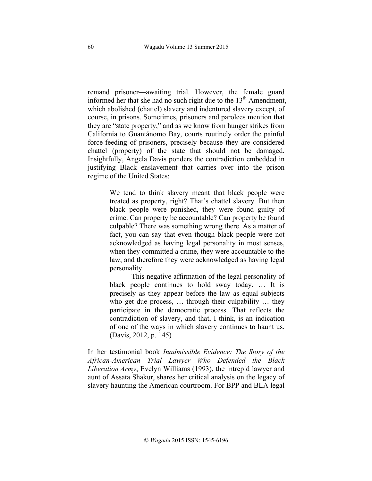remand prisoner—awaiting trial. However, the female guard informed her that she had no such right due to the  $13<sup>th</sup>$  Amendment, which abolished (chattel) slavery and indentured slavery except, of course, in prisons. Sometimes, prisoners and parolees mention that they are "state property," and as we know from hunger strikes from California to Guantánomo Bay, courts routinely order the painful force-feeding of prisoners, precisely because they are considered chattel (property) of the state that should not be damaged. Insightfully, Angela Davis ponders the contradiction embedded in justifying Black enslavement that carries over into the prison regime of the United States:

> We tend to think slavery meant that black people were treated as property, right? That's chattel slavery. But then black people were punished, they were found guilty of crime. Can property be accountable? Can property be found culpable? There was something wrong there. As a matter of fact, you can say that even though black people were not acknowledged as having legal personality in most senses, when they committed a crime, they were accountable to the law, and therefore they were acknowledged as having legal personality.

> This negative affirmation of the legal personality of black people continues to hold sway today. … It is precisely as they appear before the law as equal subjects who get due process, ... through their culpability ... they participate in the democratic process. That reflects the contradiction of slavery, and that, I think, is an indication of one of the ways in which slavery continues to haunt us. (Davis, 2012, p. 145)

In her testimonial book *Inadmissible Evidence: The Story of the African-American Trial Lawyer Who Defended the Black Liberation Army*, Evelyn Williams (1993), the intrepid lawyer and aunt of Assata Shakur, shares her critical analysis on the legacy of slavery haunting the American courtroom. For BPP and BLA legal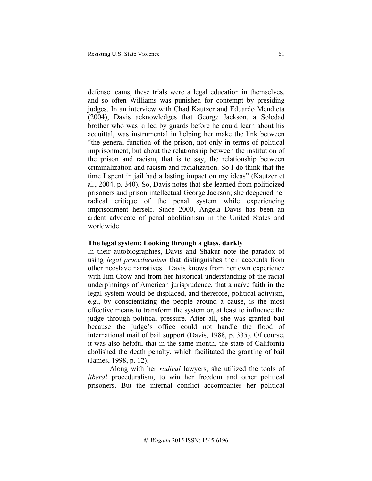defense teams, these trials were a legal education in themselves, and so often Williams was punished for contempt by presiding judges. In an interview with Chad Kautzer and Eduardo Mendieta (2004), Davis acknowledges that George Jackson, a Soledad brother who was killed by guards before he could learn about his acquittal, was instrumental in helping her make the link between "the general function of the prison, not only in terms of political imprisonment, but about the relationship between the institution of the prison and racism, that is to say, the relationship between criminalization and racism and racialization. So I do think that the time I spent in jail had a lasting impact on my ideas" (Kautzer et al., 2004, p. 340). So, Davis notes that she learned from politicized prisoners and prison intellectual George Jackson; she deepened her radical critique of the penal system while experiencing imprisonment herself. Since 2000, Angela Davis has been an ardent advocate of penal abolitionism in the United States and worldwide.

#### **The legal system: Looking through a glass, darkly**

In their autobiographies, Davis and Shakur note the paradox of using *legal proceduralism* that distinguishes their accounts from other neoslave narratives. Davis knows from her own experience with Jim Crow and from her historical understanding of the racial underpinnings of American jurisprudence, that a naïve faith in the legal system would be displaced, and therefore, political activism, e.g., by conscientizing the people around a cause, is the most effective means to transform the system or, at least to influence the judge through political pressure. After all, she was granted bail because the judge's office could not handle the flood of international mail of bail support (Davis, 1988, p. 335). Of course, it was also helpful that in the same month, the state of California abolished the death penalty, which facilitated the granting of bail (James, 1998, p. 12).

Along with her *radical* lawyers, she utilized the tools of *liberal* proceduralism, to win her freedom and other political prisoners. But the internal conflict accompanies her political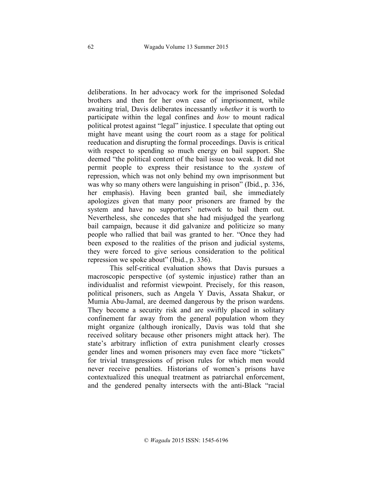deliberations. In her advocacy work for the imprisoned Soledad brothers and then for her own case of imprisonment, while awaiting trial, Davis deliberates incessantly *whether* it is worth to participate within the legal confines and *how* to mount radical political protest against "legal" injustice. I speculate that opting out might have meant using the court room as a stage for political reeducation and disrupting the formal proceedings. Davis is critical with respect to spending so much energy on bail support. She deemed "the political content of the bail issue too weak. It did not permit people to express their resistance to the *system* of repression, which was not only behind my own imprisonment but was why so many others were languishing in prison" (Ibid., p. 336, her emphasis). Having been granted bail, she immediately apologizes given that many poor prisoners are framed by the system and have no supporters' network to bail them out. Nevertheless, she concedes that she had misjudged the yearlong bail campaign, because it did galvanize and politicize so many people who rallied that bail was granted to her. "Once they had been exposed to the realities of the prison and judicial systems, they were forced to give serious consideration to the political repression we spoke about" (Ibid., p. 336).

This self-critical evaluation shows that Davis pursues a macroscopic perspective (of systemic injustice) rather than an individualist and reformist viewpoint. Precisely, for this reason, political prisoners, such as Angela Y Davis, Assata Shakur, or Mumia Abu-Jamal, are deemed dangerous by the prison wardens. They become a security risk and are swiftly placed in solitary confinement far away from the general population whom they might organize (although ironically, Davis was told that she received solitary because other prisoners might attack her). The state's arbitrary infliction of extra punishment clearly crosses gender lines and women prisoners may even face more "tickets" for trivial transgressions of prison rules for which men would never receive penalties. Historians of women's prisons have contextualized this unequal treatment as patriarchal enforcement, and the gendered penalty intersects with the anti-Black "racial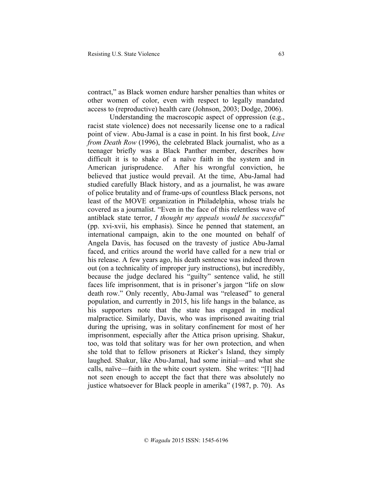contract," as Black women endure harsher penalties than whites or other women of color, even with respect to legally mandated access to (reproductive) health care (Johnson, 2003; Dodge, 2006).

Understanding the macroscopic aspect of oppression (e.g., racist state violence) does not necessarily license one to a radical point of view. Abu-Jamal is a case in point. In his first book, *Live from Death Row* (1996), the celebrated Black journalist, who as a teenager briefly was a Black Panther member, describes how difficult it is to shake of a naïve faith in the system and in American jurisprudence. After his wrongful conviction, he believed that justice would prevail. At the time, Abu-Jamal had studied carefully Black history, and as a journalist, he was aware of police brutality and of frame-ups of countless Black persons, not least of the MOVE organization in Philadelphia, whose trials he covered as a journalist. "Even in the face of this relentless wave of antiblack state terror, *I thought my appeals would be successful*" (pp. xvi-xvii, his emphasis). Since he penned that statement, an international campaign, akin to the one mounted on behalf of Angela Davis, has focused on the travesty of justice Abu-Jamal faced, and critics around the world have called for a new trial or his release. A few years ago, his death sentence was indeed thrown out (on a technicality of improper jury instructions), but incredibly, because the judge declared his "guilty" sentence valid, he still faces life imprisonment, that is in prisoner's jargon "life on slow death row." Only recently, Abu-Jamal was "released" to general population, and currently in 2015, his life hangs in the balance, as his supporters note that the state has engaged in medical malpractice. Similarly, Davis, who was imprisoned awaiting trial during the uprising, was in solitary confinement for most of her imprisonment, especially after the Attica prison uprising. Shakur, too, was told that solitary was for her own protection, and when she told that to fellow prisoners at Ricker's Island, they simply laughed. Shakur, like Abu-Jamal, had some initial—and what she calls, naïve—faith in the white court system. She writes: "[I] had not seen enough to accept the fact that there was absolutely no justice whatsoever for Black people in amerika" (1987, p. 70). As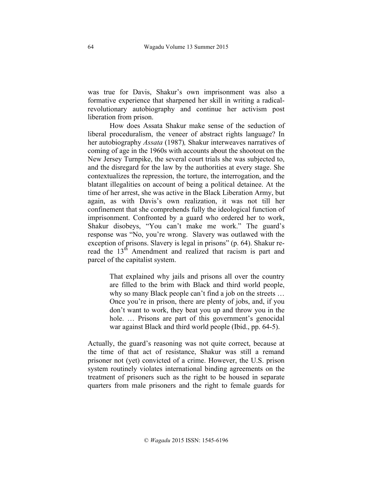was true for Davis, Shakur's own imprisonment was also a formative experience that sharpened her skill in writing a radicalrevolutionary autobiography and continue her activism post liberation from prison.

How does Assata Shakur make sense of the seduction of liberal proceduralism, the veneer of abstract rights language? In her autobiography *Assata* (1987)*,* Shakur interweaves narratives of coming of age in the 1960s with accounts about the shootout on the New Jersey Turnpike, the several court trials she was subjected to, and the disregard for the law by the authorities at every stage. She contextualizes the repression, the torture, the interrogation, and the blatant illegalities on account of being a political detainee. At the time of her arrest, she was active in the Black Liberation Army, but again, as with Davis's own realization, it was not till her confinement that she comprehends fully the ideological function of imprisonment. Confronted by a guard who ordered her to work, Shakur disobeys, "You can't make me work." The guard's response was "No, you're wrong. Slavery was outlawed with the exception of prisons. Slavery is legal in prisons" (p. 64). Shakur reread the 13<sup>th</sup> Amendment and realized that racism is part and parcel of the capitalist system.

> That explained why jails and prisons all over the country are filled to the brim with Black and third world people, why so many Black people can't find a job on the streets … Once you're in prison, there are plenty of jobs, and, if you don't want to work, they beat you up and throw you in the hole. ... Prisons are part of this government's genocidal war against Black and third world people (Ibid., pp. 64-5).

Actually, the guard's reasoning was not quite correct, because at the time of that act of resistance, Shakur was still a remand prisoner not (yet) convicted of a crime. However, the U.S. prison system routinely violates international binding agreements on the treatment of prisoners such as the right to be housed in separate quarters from male prisoners and the right to female guards for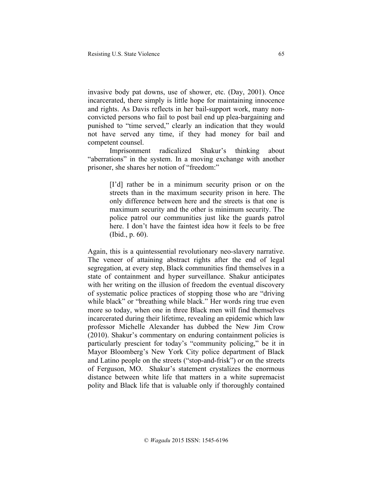invasive body pat downs, use of shower, etc. (Day, 2001). Once incarcerated, there simply is little hope for maintaining innocence and rights. As Davis reflects in her bail-support work, many nonconvicted persons who fail to post bail end up plea-bargaining and punished to "time served," clearly an indication that they would not have served any time, if they had money for bail and competent counsel.

Imprisonment radicalized Shakur's thinking about "aberrations" in the system. In a moving exchange with another prisoner, she shares her notion of "freedom:"

> [I'd] rather be in a minimum security prison or on the streets than in the maximum security prison in here. The only difference between here and the streets is that one is maximum security and the other is minimum security. The police patrol our communities just like the guards patrol here. I don't have the faintest idea how it feels to be free (Ibid., p. 60).

Again, this is a quintessential revolutionary neo-slavery narrative. The veneer of attaining abstract rights after the end of legal segregation, at every step, Black communities find themselves in a state of containment and hyper surveillance. Shakur anticipates with her writing on the illusion of freedom the eventual discovery of systematic police practices of stopping those who are "driving while black" or "breathing while black." Her words ring true even more so today, when one in three Black men will find themselves incarcerated during their lifetime, revealing an epidemic which law professor Michelle Alexander has dubbed the New Jim Crow (2010). Shakur's commentary on enduring containment policies is particularly prescient for today's "community policing," be it in Mayor Bloomberg's New York City police department of Black and Latino people on the streets ("stop-and-frisk") or on the streets of Ferguson, MO. Shakur's statement crystalizes the enormous distance between white life that matters in a white supremacist polity and Black life that is valuable only if thoroughly contained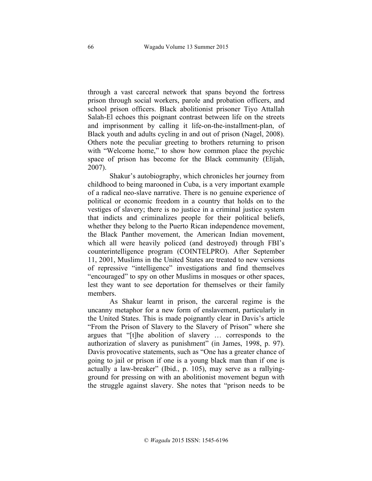through a vast carceral network that spans beyond the fortress prison through social workers, parole and probation officers, and school prison officers. Black abolitionist prisoner Tiyo Attallah Salah-El echoes this poignant contrast between life on the streets and imprisonment by calling it life-on-the-installment-plan, of Black youth and adults cycling in and out of prison (Nagel, 2008). Others note the peculiar greeting to brothers returning to prison with "Welcome home," to show how common place the psychic space of prison has become for the Black community (Elijah, 2007).

Shakur's autobiography, which chronicles her journey from childhood to being marooned in Cuba, is a very important example of a radical neo-slave narrative. There is no genuine experience of political or economic freedom in a country that holds on to the vestiges of slavery; there is no justice in a criminal justice system that indicts and criminalizes people for their political beliefs, whether they belong to the Puerto Rican independence movement, the Black Panther movement, the American Indian movement, which all were heavily policed (and destroyed) through FBI's counterintelligence program (COINTELPRO). After September 11, 2001, Muslims in the United States are treated to new versions of repressive "intelligence" investigations and find themselves "encouraged" to spy on other Muslims in mosques or other spaces, lest they want to see deportation for themselves or their family members.

As Shakur learnt in prison, the carceral regime is the uncanny metaphor for a new form of enslavement, particularly in the United States. This is made poignantly clear in Davis's article "From the Prison of Slavery to the Slavery of Prison" where she argues that "[t]he abolition of slavery … corresponds to the authorization of slavery as punishment" (in James, 1998, p. 97). Davis provocative statements, such as "One has a greater chance of going to jail or prison if one is a young black man than if one is actually a law-breaker" (Ibid., p. 105), may serve as a rallyingground for pressing on with an abolitionist movement begun with the struggle against slavery. She notes that "prison needs to be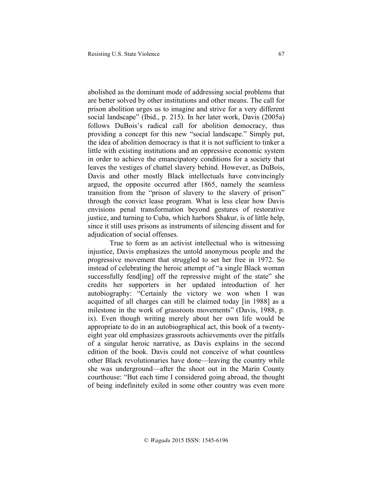abolished as the dominant mode of addressing social problems that are better solved by other institutions and other means. The call for prison abolition urges us to imagine and strive for a very different social landscape" (Ibid., p. 215). In her later work, Davis (2005a) follows DuBois's radical call for abolition democracy, thus providing a concept for this new "social landscape." Simply put, the idea of abolition democracy is that it is not sufficient to tinker a little with existing institutions and an oppressive economic system in order to achieve the emancipatory conditions for a society that leaves the vestiges of chattel slavery behind. However, as DuBois, Davis and other mostly Black intellectuals have convincingly argued, the opposite occurred after 1865, namely the seamless transition from the "prison of slavery to the slavery of prison" through the convict lease program. What is less clear how Davis envisions penal transformation beyond gestures of restorative justice, and turning to Cuba, which harbors Shakur, is of little help, since it still uses prisons as instruments of silencing dissent and for adjudication of social offenses.

True to form as an activist intellectual who is witnessing injustice, Davis emphasizes the untold anonymous people and the progressive movement that struggled to set her free in 1972. So instead of celebrating the heroic attempt of "a single Black woman successfully fend [ing] off the repressive might of the state" she credits her supporters in her updated introduction of her autobiography: "Certainly the victory we won when I was acquitted of all charges can still be claimed today [in 1988] as a milestone in the work of grassroots movements" (Davis, 1988, p. ix). Even though writing merely about her own life would be appropriate to do in an autobiographical act, this book of a twentyeight year old emphasizes grassroots achievements over the pitfalls of a singular heroic narrative, as Davis explains in the second edition of the book. Davis could not conceive of what countless other Black revolutionaries have done—leaving the country while she was underground—after the shoot out in the Marin County courthouse: "But each time I considered going abroad, the thought of being indefinitely exiled in some other country was even more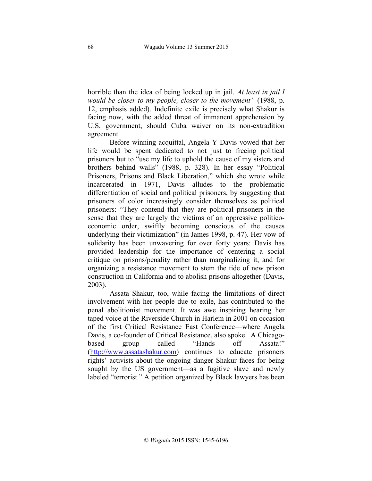horrible than the idea of being locked up in jail. *At least in jail I would be closer to my people, closer to the movement"* (1988, p. 12, emphasis added). Indefinite exile is precisely what Shakur is facing now, with the added threat of immanent apprehension by U.S. government, should Cuba waiver on its non-extradition agreement.

Before winning acquittal, Angela Y Davis vowed that her life would be spent dedicated to not just to freeing political prisoners but to "use my life to uphold the cause of my sisters and brothers behind walls" (1988, p. 328). In her essay "Political Prisoners, Prisons and Black Liberation," which she wrote while incarcerated in 1971, Davis alludes to the problematic differentiation of social and political prisoners, by suggesting that prisoners of color increasingly consider themselves as political prisoners: "They contend that they are political prisoners in the sense that they are largely the victims of an oppressive politicoeconomic order, swiftly becoming conscious of the causes underlying their victimization" (in James 1998, p. 47). Her vow of solidarity has been unwavering for over forty years: Davis has provided leadership for the importance of centering a social critique on prisons/penality rather than marginalizing it, and for organizing a resistance movement to stem the tide of new prison construction in California and to abolish prisons altogether (Davis, 2003).

Assata Shakur, too, while facing the limitations of direct involvement with her people due to exile, has contributed to the penal abolitionist movement. It was awe inspiring hearing her taped voice at the Riverside Church in Harlem in 2001 on occasion of the first Critical Resistance East Conference—where Angela Davis, a co-founder of Critical Resistance, also spoke. A Chicagobased group called "Hands off Assata!" (http://www.assatashakur.com) continues to educate prisoners rights' activists about the ongoing danger Shakur faces for being sought by the US government—as a fugitive slave and newly labeled "terrorist." A petition organized by Black lawyers has been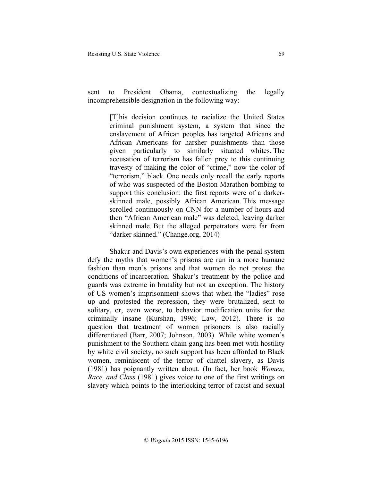sent to President Obama, contextualizing the legally incomprehensible designation in the following way:

> [T]his decision continues to racialize the United States criminal punishment system, a system that since the enslavement of African peoples has targeted Africans and African Americans for harsher punishments than those given particularly to similarly situated whites. The accusation of terrorism has fallen prey to this continuing travesty of making the color of "crime," now the color of "terrorism," black. One needs only recall the early reports of who was suspected of the Boston Marathon bombing to support this conclusion: the first reports were of a darkerskinned male, possibly African American. This message scrolled continuously on CNN for a number of hours and then "African American male" was deleted, leaving darker skinned male. But the alleged perpetrators were far from "darker skinned." (Change.org, 2014)

Shakur and Davis's own experiences with the penal system defy the myths that women's prisons are run in a more humane fashion than men's prisons and that women do not protest the conditions of incarceration. Shakur's treatment by the police and guards was extreme in brutality but not an exception. The history of US women's imprisonment shows that when the "ladies" rose up and protested the repression, they were brutalized, sent to solitary, or, even worse, to behavior modification units for the criminally insane (Kurshan, 1996; Law, 2012). There is no question that treatment of women prisoners is also racially differentiated (Barr, 2007; Johnson, 2003). While white women's punishment to the Southern chain gang has been met with hostility by white civil society, no such support has been afforded to Black women, reminiscent of the terror of chattel slavery, as Davis (1981) has poignantly written about. (In fact, her book *Women, Race, and Class* (1981) gives voice to one of the first writings on slavery which points to the interlocking terror of racist and sexual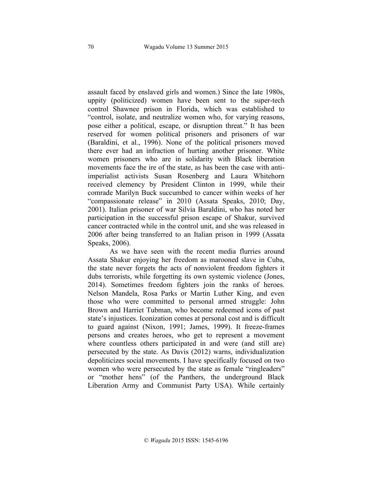assault faced by enslaved girls and women.) Since the late 1980s, uppity (politicized) women have been sent to the super-tech control Shawnee prison in Florida, which was established to "control, isolate, and neutralize women who, for varying reasons, pose either a political, escape, or disruption threat." It has been reserved for women political prisoners and prisoners of war (Baraldini, et al., 1996). None of the political prisoners moved there ever had an infraction of hurting another prisoner. White women prisoners who are in solidarity with Black liberation movements face the ire of the state, as has been the case with antiimperialist activists Susan Rosenberg and Laura Whitehorn received clemency by President Clinton in 1999, while their comrade Marilyn Buck succumbed to cancer within weeks of her "compassionate release" in 2010 (Assata Speaks, 2010; Day, 2001). Italian prisoner of war Silvia Baraldini, who has noted her participation in the successful prison escape of Shakur, survived cancer contracted while in the control unit, and she was released in 2006 after being transferred to an Italian prison in 1999 (Assata Speaks, 2006).

As we have seen with the recent media flurries around Assata Shakur enjoying her freedom as marooned slave in Cuba, the state never forgets the acts of nonviolent freedom fighters it dubs terrorists, while forgetting its own systemic violence (Jones, 2014). Sometimes freedom fighters join the ranks of heroes. Nelson Mandela, Rosa Parks or Martin Luther King, and even those who were committed to personal armed struggle: John Brown and Harriet Tubman, who become redeemed icons of past state's injustices. Iconization comes at personal cost and is difficult to guard against (Nixon, 1991; James, 1999). It freeze-frames persons and creates heroes, who get to represent a movement where countless others participated in and were (and still are) persecuted by the state. As Davis (2012) warns, individualization depoliticizes social movements. I have specifically focused on two women who were persecuted by the state as female "ringleaders" or "mother hens" (of the Panthers, the underground Black Liberation Army and Communist Party USA). While certainly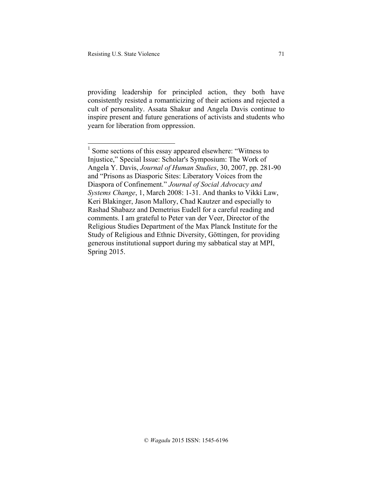providing leadership for principled action, they both have consistently resisted a romanticizing of their actions and rejected a cult of personality. Assata Shakur and Angela Davis continue to inspire present and future generations of activists and students who yearn for liberation from oppression.

<sup>&</sup>lt;sup>1</sup> Some sections of this essay appeared elsewhere: "Witness to Injustice," Special Issue: Scholar's Symposium: The Work of Angela Y. Davis, *Journal of Human Studies*, 30, 2007, pp. 281-90 and "Prisons as Diasporic Sites: Liberatory Voices from the Diaspora of Confinement." *Journal of Social Advocacy and Systems Change*, 1, March 2008: 1-31. And thanks to Vikki Law, Keri Blakinger, Jason Mallory, Chad Kautzer and especially to Rashad Shabazz and Demetrius Eudell for a careful reading and comments. I am grateful to Peter van der Veer, Director of the Religious Studies Department of the Max Planck Institute for the Study of Religious and Ethnic Diversity, Göttingen, for providing generous institutional support during my sabbatical stay at MPI, Spring 2015.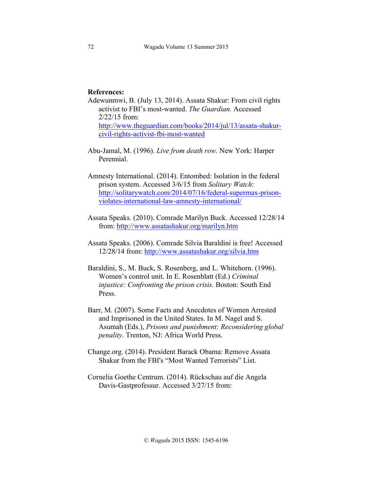#### **References:**

- Adewunmwi, B. (July 13, 2014). Assata Shakur: From civil rights activist to FBI's most-wanted. *The Guardian.* Accessed 2/22/15 from: http://www.theguardian.com/books/2014/jul/13/assata-shakurcivil-rights-activist-fbi-most-wanted
- Abu-Jamal, M. (1996). *Live from death row.* New York: Harper Perennial.
- Amnesty International. (2014). Entombed: Isolation in the federal prison system. Accessed 3/6/15 from *Solitary Watch*: http://solitarywatch.com/2014/07/16/federal-supermax-prisonviolates-international-law-amnesty-international/
- Assata Speaks. (2010). Comrade Marilyn Buck. Accessed 12/28/14 from: http://www.assatashakur.org/marilyn.htm
- Assata Speaks. (2006). Comrade Silvia Baraldini is free! Accessed 12/28/14 from: http://www.assatashakur.org/silvia.htm
- Baraldini, S., M. Buck, S. Rosenberg, and L. Whitehorn. (1996). Women's control unit. In E. Rosenblatt (Ed.) *Criminal injustice: Confronting the prison crisis.* Boston: South End Press.
- Barr, M. (2007). Some Facts and Anecdotes of Women Arrested and Imprisoned in the United States. In M. Nagel and S. Asumah (Eds.), *Prisons and punishment: Reconsidering global penality*. Trenton, NJ: Africa World Press.
- Change.org. (2014). President Barack Obama: Remove Assata Shakur from the FBI's "Most Wanted Terrorists" List.
- Cornelia Goethe Centrum. (2014). Rückschau auf die Angela Davis-Gastprofessur. Accessed 3/27/15 from: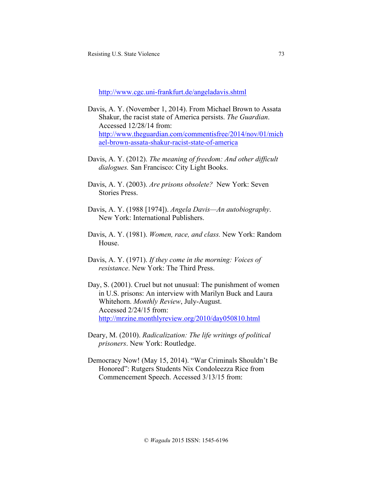http://www.cgc.uni-frankfurt.de/angeladavis.shtml

- Davis, A. Y. (November 1, 2014). From Michael Brown to Assata Shakur, the racist state of America persists. *The Guardian*. Accessed 12/28/14 from: http://www.theguardian.com/commentisfree/2014/nov/01/mich ael-brown-assata-shakur-racist-state-of-america
- Davis, A. Y. (2012). *The meaning of freedom: And other difficult dialogues.* San Francisco: City Light Books.
- Davis, A. Y. (2003). *Are prisons obsolete?* New York: Seven Stories Press.
- Davis, A. Y. (1988 [1974]). *Angela Davis—An autobiography*. New York: International Publishers.
- Davis, A. Y. (1981). *Women, race, and class.* New York: Random House.
- Davis, A. Y. (1971). *If they come in the morning: Voices of resistance*. New York: The Third Press.
- Day, S. (2001). Cruel but not unusual: The punishment of women in U.S. prisons: An interview with Marilyn Buck and Laura Whitehorn. *Monthly Review*, July-August. Accessed 2/24/15 from: http://mrzine.monthlyreview.org/2010/day050810.html
- Deary, M. (2010). *Radicalization: The life writings of political prisoners*. New York: Routledge.
- Democracy Now! (May 15, 2014). "War Criminals Shouldn't Be Honored": Rutgers Students Nix Condoleezza Rice from Commencement Speech. Accessed 3/13/15 from: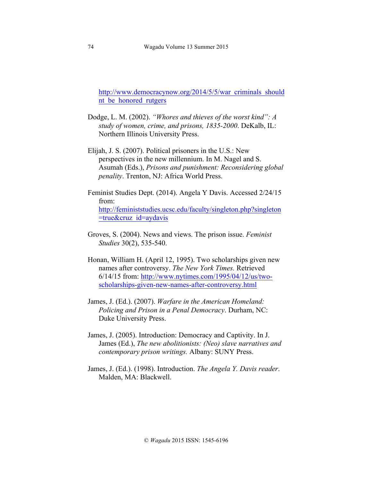http://www.democracynow.org/2014/5/5/war\_criminals\_should nt be honored rutgers

- Dodge, L. M. (2002). *"Whores and thieves of the worst kind": A study of women, crime, and prisons, 1835-2000*. DeKalb, IL: Northern Illinois University Press.
- Elijah, J. S. (2007). Political prisoners in the U.S.: New perspectives in the new millennium. In M. Nagel and S. Asumah (Eds.), *Prisons and punishment: Reconsidering global penality*. Trenton, NJ: Africa World Press.
- Feminist Studies Dept. (2014). Angela Y Davis. Accessed 2/24/15 from: http://feministstudies.ucsc.edu/faculty/singleton.php?singleton =true&cruz\_id=aydavis
- Groves, S. (2004). News and views. The prison issue. *Feminist Studies* 30(2), 535-540.
- Honan, William H. (April 12, 1995). Two scholarships given new names after controversy. *The New York Times.* Retrieved 6/14/15 from: http://www.nytimes.com/1995/04/12/us/twoscholarships-given-new-names-after-controversy.html
- James, J. (Ed.). (2007). *Warfare in the American Homeland: Policing and Prison in a Penal Democracy*. Durham, NC: Duke University Press.
- James, J. (2005). Introduction: Democracy and Captivity. In J. James (Ed.), *The new abolitionists: (Neo) slave narratives and contemporary prison writings.* Albany: SUNY Press.
- James, J. (Ed.). (1998). Introduction. *The Angela Y. Davis reader*. Malden, MA: Blackwell.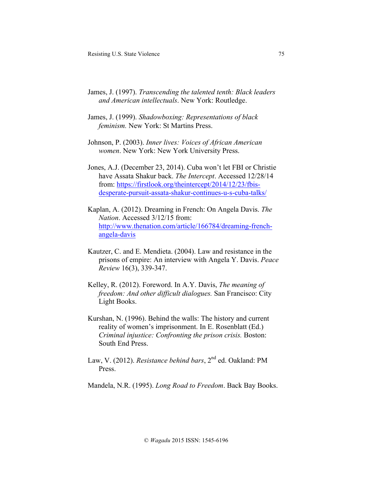- James, J. (1997). *Transcending the talented tenth: Black leaders and American intellectuals*. New York: Routledge.
- James, J. (1999). *Shadowboxing: Representations of black feminism.* New York: St Martins Press.
- Johnson, P. (2003). *Inner lives: Voices of African American women*. New York: New York University Press.
- Jones, A.J. (December 23, 2014). Cuba won't let FBI or Christie have Assata Shakur back. *The Intercept*. Accessed 12/28/14 from: https://firstlook.org/theintercept/2014/12/23/fbisdesperate-pursuit-assata-shakur-continues-u-s-cuba-talks/
- Kaplan, A. (2012). Dreaming in French: On Angela Davis. *The Nation*. Accessed 3/12/15 from: http://www.thenation.com/article/166784/dreaming-frenchangela-davis
- Kautzer, C. and E. Mendieta. (2004). Law and resistance in the prisons of empire: An interview with Angela Y. Davis. *Peace Review* 16(3), 339-347.
- Kelley, R. (2012). Foreword. In A.Y. Davis, *The meaning of freedom: And other difficult dialogues.* San Francisco: City Light Books.
- Kurshan, N. (1996). Behind the walls: The history and current reality of women's imprisonment. In E. Rosenblatt (Ed.) *Criminal injustice: Confronting the prison crisis.* Boston: South End Press.
- Law, V. (2012). *Resistance behind bars*, 2<sup>nd</sup> ed. Oakland: PM Press.
- Mandela, N.R. (1995). *Long Road to Freedom*. Back Bay Books.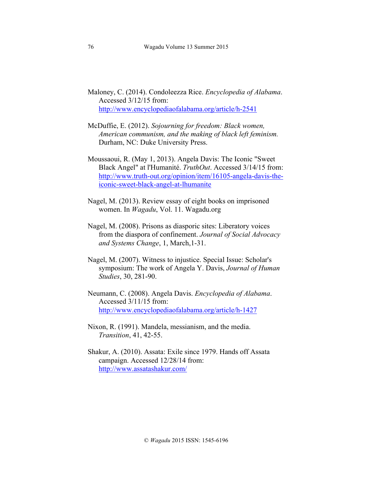- Maloney, C. (2014). Condoleezza Rice. *Encyclopedia of Alabama*. Accessed 3/12/15 from: http://www.encyclopediaofalabama.org/article/h-2541
- McDuffie, E. (2012). *Sojourning for freedom: Black women, American communism, and the making of black left feminism.* Durham, NC: Duke University Press.
- Moussaoui, R. (May 1, 2013). Angela Davis: The Iconic "Sweet Black Angel" at l'Humanité. *TruthOut*. Accessed 3/14/15 from: http://www.truth-out.org/opinion/item/16105-angela-davis-theiconic-sweet-black-angel-at-lhumanite
- Nagel, M. (2013). Review essay of eight books on imprisoned women. In *Wagadu*, Vol. 11. Wagadu.org
- Nagel, M. (2008). Prisons as diasporic sites: Liberatory voices from the diaspora of confinement. *Journal of Social Advocacy and Systems Change*, 1, March,1-31.
- Nagel, M. (2007). Witness to injustice. Special Issue: Scholar's symposium: The work of Angela Y. Davis, *Journal of Human Studies*, 30, 281-90.
- Neumann, C. (2008). Angela Davis. *Encyclopedia of Alabama*. Accessed 3/11/15 from: http://www.encyclopediaofalabama.org/article/h-1427
- Nixon, R. (1991). Mandela, messianism, and the media. *Transition*, 41, 42-55.
- Shakur, A. (2010). Assata: Exile since 1979. Hands off Assata campaign. Accessed 12/28/14 from: http://www.assatashakur.com/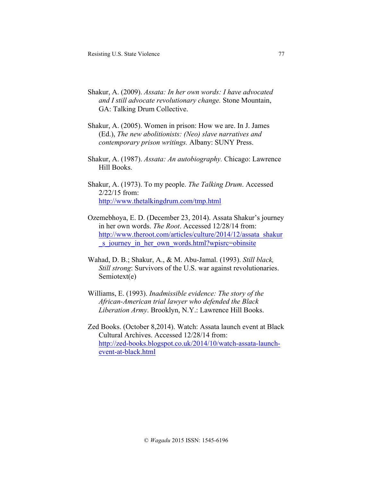- Shakur, A. (2009). *Assata: In her own words: I have advocated and I still advocate revolutionary change.* Stone Mountain, GA: Talking Drum Collective.
- Shakur, A. (2005). Women in prison: How we are. In J. James (Ed.), *The new abolitionists: (Neo) slave narratives and contemporary prison writings.* Albany: SUNY Press.
- Shakur, A. (1987). *Assata: An autobiography.* Chicago: Lawrence Hill Books.
- Shakur, A. (1973). To my people. *The Talking Drum*. Accessed 2/22/15 from: http://www.thetalkingdrum.com/tmp.html
- Ozemebhoya, E. D. (December 23, 2014). Assata Shakur's journey in her own words. *The Root*. Accessed 12/28/14 from: http://www.theroot.com/articles/culture/2014/12/assata\_shakur s journey in her own words.html?wpisrc=obinsite
- Wahad, D. B.; Shakur, A., & M. Abu-Jamal. (1993). *Still black, Still strong*: Survivors of the U.S. war against revolutionaries. Semiotext(e)
- Williams, E. (1993). *Inadmissible evidence: The story of the African-American trial lawyer who defended the Black Liberation Army*. Brooklyn, N.Y.: Lawrence Hill Books.
- Zed Books. (October 8,2014). Watch: Assata launch event at Black Cultural Archives. Accessed 12/28/14 from: http://zed-books.blogspot.co.uk/2014/10/watch-assata-launchevent-at-black.html